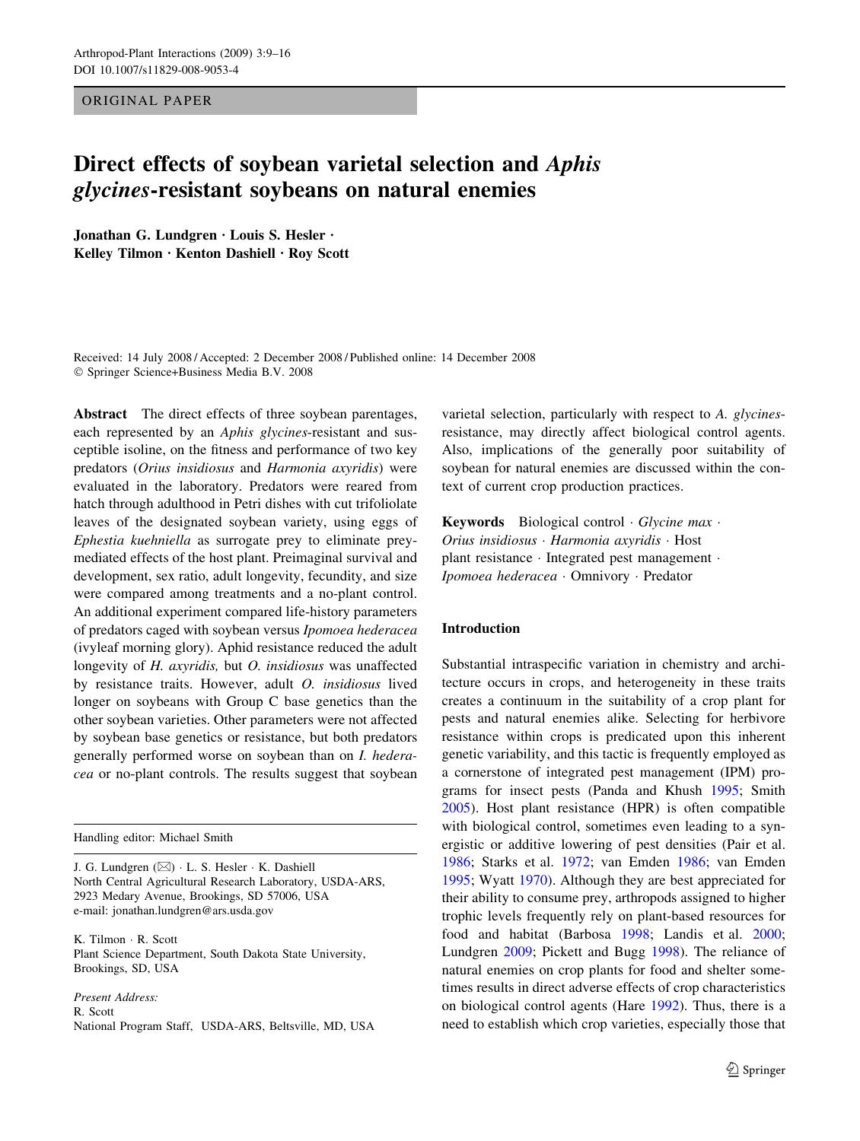ORIGINAL PAPER

# Direct effects of soybean varietal selection and Aphis glycines-resistant soybeans on natural enemies

Jonathan G. Lundgren · Louis S. Hesler · Kelley Tilmon · Kenton Dashiell · Roy Scott

Received: 14 July 2008 / Accepted: 2 December 2008 / Published online: 14 December 2008 Springer Science+Business Media B.V. 2008

Abstract The direct effects of three soybean parentages, each represented by an Aphis glycines-resistant and susceptible isoline, on the fitness and performance of two key predators (Orius insidiosus and Harmonia axyridis) were evaluated in the laboratory. Predators were reared from hatch through adulthood in Petri dishes with cut trifoliolate leaves of the designated soybean variety, using eggs of Ephestia kuehniella as surrogate prey to eliminate preymediated effects of the host plant. Preimaginal survival and development, sex ratio, adult longevity, fecundity, and size were compared among treatments and a no-plant control. An additional experiment compared life-history parameters of predators caged with soybean versus Ipomoea hederacea (ivyleaf morning glory). Aphid resistance reduced the adult longevity of H. axyridis, but O. insidiosus was unaffected by resistance traits. However, adult O. insidiosus lived longer on soybeans with Group C base genetics than the other soybean varieties. Other parameters were not affected by soybean base genetics or resistance, but both predators generally performed worse on soybean than on I. hederacea or no-plant controls. The results suggest that soybean

Handling editor: Michael Smith

J. G. Lundgren  $(\boxtimes) \cdot$  L. S. Hesler  $\cdot$  K. Dashiell North Central Agricultural Research Laboratory, USDA-ARS, 2923 Medary Avenue, Brookings, SD 57006, USA e-mail: jonathan.lundgren@ars.usda.gov

 $K.$  Tilmon  $\cdot$  R. Scott Plant Science Department, South Dakota State University, Brookings, SD, USA

Present Address: R. Scott National Program Staff, USDA-ARS, Beltsville, MD, USA

varietal selection, particularly with respect to A. glycinesresistance, may directly affect biological control agents. Also, implications of the generally poor suitability of soybean for natural enemies are discussed within the context of current crop production practices.

Keywords Biological control  $\cdot$  Glycine max  $\cdot$ Orius insidiosus · Harmonia axyridis · Host plant resistance  $\cdot$  Integrated pest management  $\cdot$ Ipomoea hederacea · Omnivory · Predator

# Introduction

Substantial intraspecific variation in chemistry and architecture occurs in crops, and heterogeneity in these traits creates a continuum in the suitability of a crop plant for pests and natural enemies alike. Selecting for herbivore resistance within crops is predicated upon this inherent genetic variability, and this tactic is frequently employed as a cornerstone of integrated pest management (IPM) programs for insect pests (Panda and Khush [1995](#page-7-0); Smith [2005](#page-7-0)). Host plant resistance (HPR) is often compatible with biological control, sometimes even leading to a synergistic or additive lowering of pest densities (Pair et al. [1986](#page-7-0); Starks et al. [1972;](#page-7-0) van Emden [1986;](#page-7-0) van Emden [1995](#page-7-0); Wyatt [1970](#page-7-0)). Although they are best appreciated for their ability to consume prey, arthropods assigned to higher trophic levels frequently rely on plant-based resources for food and habitat (Barbosa [1998](#page-6-0); Landis et al. [2000](#page-7-0); Lundgren [2009;](#page-7-0) Pickett and Bugg [1998](#page-7-0)). The reliance of natural enemies on crop plants for food and shelter sometimes results in direct adverse effects of crop characteristics on biological control agents (Hare [1992\)](#page-6-0). Thus, there is a need to establish which crop varieties, especially those that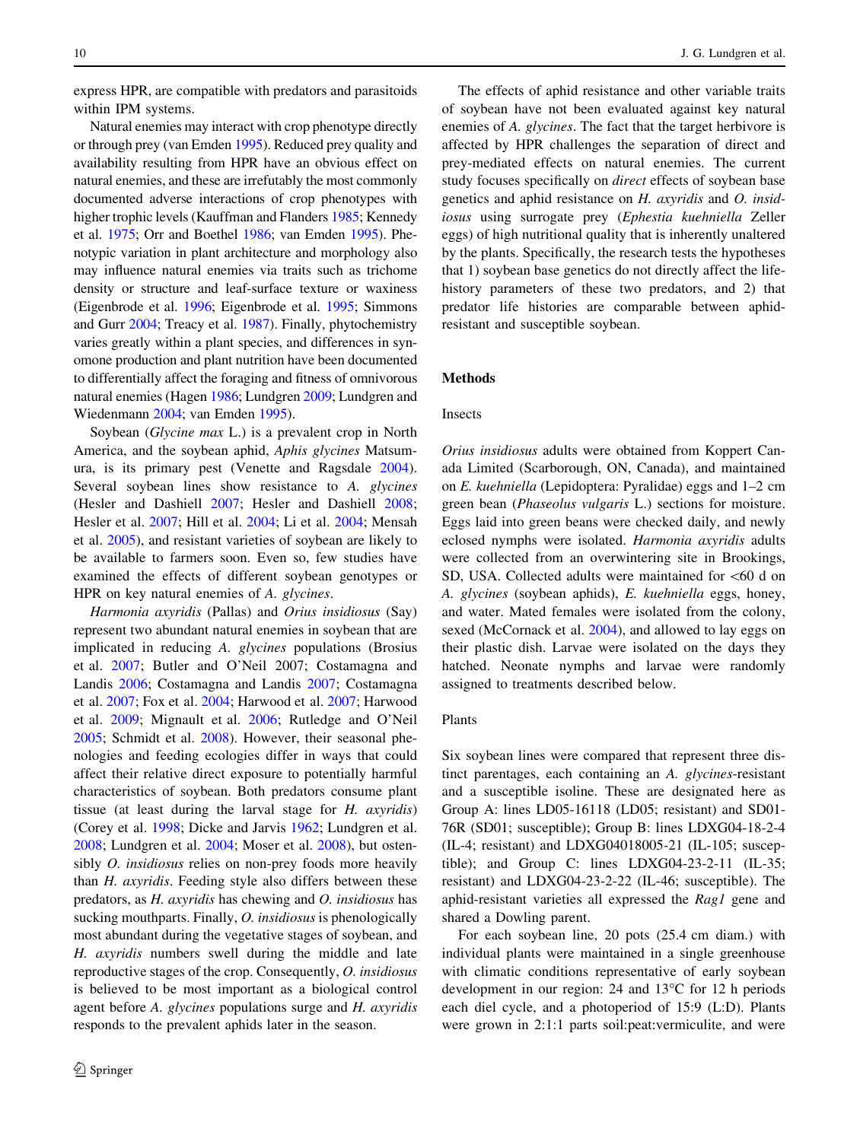express HPR, are compatible with predators and parasitoids within IPM systems.

Natural enemies may interact with crop phenotype directly or through prey (van Emden [1995](#page-7-0)). Reduced prey quality and availability resulting from HPR have an obvious effect on natural enemies, and these are irrefutably the most commonly documented adverse interactions of crop phenotypes with higher trophic levels (Kauffman and Flanders [1985;](#page-6-0) Kennedy et al. [1975;](#page-6-0) Orr and Boethel [1986;](#page-7-0) van Emden [1995](#page-7-0)). Phenotypic variation in plant architecture and morphology also may influence natural enemies via traits such as trichome density or structure and leaf-surface texture or waxiness (Eigenbrode et al. [1996;](#page-6-0) Eigenbrode et al. [1995](#page-6-0); Simmons and Gurr [2004;](#page-7-0) Treacy et al. [1987\)](#page-7-0). Finally, phytochemistry varies greatly within a plant species, and differences in synomone production and plant nutrition have been documented to differentially affect the foraging and fitness of omnivorous natural enemies (Hagen [1986](#page-6-0); Lundgren [2009;](#page-7-0) Lundgren and Wiedenmann [2004;](#page-7-0) van Emden [1995\)](#page-7-0).

Soybean (Glycine max L.) is a prevalent crop in North America, and the soybean aphid, Aphis glycines Matsumura, is its primary pest (Venette and Ragsdale [2004](#page-7-0)). Several soybean lines show resistance to A. glycines (Hesler and Dashiell [2007;](#page-6-0) Hesler and Dashiell [2008](#page-6-0); Hesler et al. [2007](#page-6-0); Hill et al. [2004;](#page-6-0) Li et al. [2004;](#page-7-0) Mensah et al. [2005](#page-7-0)), and resistant varieties of soybean are likely to be available to farmers soon. Even so, few studies have examined the effects of different soybean genotypes or HPR on key natural enemies of A. glycines.

Harmonia axyridis (Pallas) and Orius insidiosus (Say) represent two abundant natural enemies in soybean that are implicated in reducing A. glycines populations (Brosius et al. [2007](#page-6-0); Butler and O'Neil 2007; Costamagna and Landis [2006](#page-6-0); Costamagna and Landis [2007;](#page-6-0) Costamagna et al. [2007;](#page-6-0) Fox et al. [2004](#page-6-0); Harwood et al. [2007;](#page-6-0) Harwood et al. [2009;](#page-6-0) Mignault et al. [2006](#page-7-0); Rutledge and O'Neil [2005;](#page-7-0) Schmidt et al. [2008\)](#page-7-0). However, their seasonal phenologies and feeding ecologies differ in ways that could affect their relative direct exposure to potentially harmful characteristics of soybean. Both predators consume plant tissue (at least during the larval stage for  $H$ . axyridis) (Corey et al. [1998](#page-6-0); Dicke and Jarvis [1962](#page-6-0); Lundgren et al. [2008;](#page-7-0) Lundgren et al. [2004](#page-7-0); Moser et al. [2008\)](#page-7-0), but ostensibly *O. insidiosus* relies on non-prey foods more heavily than H. axyridis. Feeding style also differs between these predators, as H. axyridis has chewing and O. insidiosus has sucking mouthparts. Finally, *O. insidiosus* is phenologically most abundant during the vegetative stages of soybean, and H. axyridis numbers swell during the middle and late reproductive stages of the crop. Consequently, O. insidiosus is believed to be most important as a biological control agent before A. glycines populations surge and H. axyridis responds to the prevalent aphids later in the season.

The effects of aphid resistance and other variable traits of soybean have not been evaluated against key natural enemies of A. glycines. The fact that the target herbivore is affected by HPR challenges the separation of direct and prey-mediated effects on natural enemies. The current study focuses specifically on direct effects of soybean base genetics and aphid resistance on H. axyridis and O. insidiosus using surrogate prey (Ephestia kuehniella Zeller eggs) of high nutritional quality that is inherently unaltered by the plants. Specifically, the research tests the hypotheses that 1) soybean base genetics do not directly affect the lifehistory parameters of these two predators, and 2) that predator life histories are comparable between aphidresistant and susceptible soybean.

## Methods

### Insects

Orius insidiosus adults were obtained from Koppert Canada Limited (Scarborough, ON, Canada), and maintained on E. kuehniella (Lepidoptera: Pyralidae) eggs and 1–2 cm green bean (Phaseolus vulgaris L.) sections for moisture. Eggs laid into green beans were checked daily, and newly eclosed nymphs were isolated. Harmonia axyridis adults were collected from an overwintering site in Brookings, SD, USA. Collected adults were maintained for \60 d on A. glycines (soybean aphids), E. kuehniella eggs, honey, and water. Mated females were isolated from the colony, sexed (McCornack et al. [2004\)](#page-7-0), and allowed to lay eggs on their plastic dish. Larvae were isolated on the days they hatched. Neonate nymphs and larvae were randomly assigned to treatments described below.

## Plants

Six soybean lines were compared that represent three distinct parentages, each containing an A. glycines-resistant and a susceptible isoline. These are designated here as Group A: lines LD05-16118 (LD05; resistant) and SD01- 76R (SD01; susceptible); Group B: lines LDXG04-18-2-4 (IL-4; resistant) and LDXG04018005-21 (IL-105; susceptible); and Group C: lines LDXG04-23-2-11 (IL-35; resistant) and LDXG04-23-2-22 (IL-46; susceptible). The aphid-resistant varieties all expressed the Rag1 gene and shared a Dowling parent.

For each soybean line, 20 pots (25.4 cm diam.) with individual plants were maintained in a single greenhouse with climatic conditions representative of early soybean development in our region: 24 and 13°C for 12 h periods each diel cycle, and a photoperiod of 15:9 (L:D). Plants were grown in 2:1:1 parts soil:peat:vermiculite, and were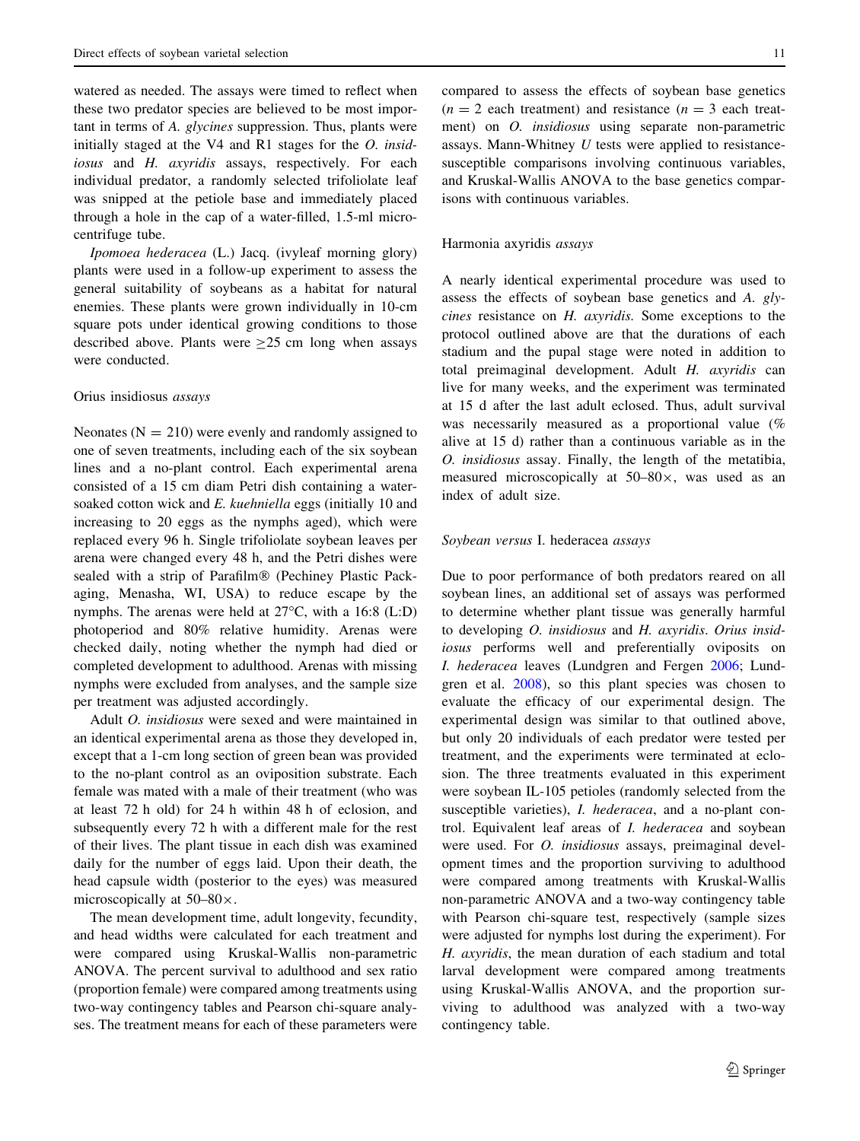watered as needed. The assays were timed to reflect when these two predator species are believed to be most important in terms of A. glycines suppression. Thus, plants were initially staged at the V4 and R1 stages for the  $O$ . insidiosus and H. axyridis assays, respectively. For each individual predator, a randomly selected trifoliolate leaf was snipped at the petiole base and immediately placed through a hole in the cap of a water-filled, 1.5-ml microcentrifuge tube.

Ipomoea hederacea (L.) Jacq. (ivyleaf morning glory) plants were used in a follow-up experiment to assess the general suitability of soybeans as a habitat for natural enemies. These plants were grown individually in 10-cm square pots under identical growing conditions to those described above. Plants were  $>25$  cm long when assays were conducted.

### Orius insidiosus assays

Neonates ( $N = 210$ ) were evenly and randomly assigned to one of seven treatments, including each of the six soybean lines and a no-plant control. Each experimental arena consisted of a 15 cm diam Petri dish containing a watersoaked cotton wick and E. kuehniella eggs (initially 10 and increasing to 20 eggs as the nymphs aged), which were replaced every 96 h. Single trifoliolate soybean leaves per arena were changed every 48 h, and the Petri dishes were sealed with a strip of Parafilm® (Pechiney Plastic Packaging, Menasha, WI, USA) to reduce escape by the nymphs. The arenas were held at  $27^{\circ}$ C, with a 16:8 (L:D) photoperiod and 80% relative humidity. Arenas were checked daily, noting whether the nymph had died or completed development to adulthood. Arenas with missing nymphs were excluded from analyses, and the sample size per treatment was adjusted accordingly.

Adult O. insidiosus were sexed and were maintained in an identical experimental arena as those they developed in, except that a 1-cm long section of green bean was provided to the no-plant control as an oviposition substrate. Each female was mated with a male of their treatment (who was at least 72 h old) for 24 h within 48 h of eclosion, and subsequently every 72 h with a different male for the rest of their lives. The plant tissue in each dish was examined daily for the number of eggs laid. Upon their death, the head capsule width (posterior to the eyes) was measured microscopically at  $50-80 \times$ .

The mean development time, adult longevity, fecundity, and head widths were calculated for each treatment and were compared using Kruskal-Wallis non-parametric ANOVA. The percent survival to adulthood and sex ratio (proportion female) were compared among treatments using two-way contingency tables and Pearson chi-square analyses. The treatment means for each of these parameters were compared to assess the effects of soybean base genetics  $(n = 2 \text{ each treatment})$  and resistance  $(n = 3 \text{ each treat-}$ ment) on *O. insidiosus* using separate non-parametric assays. Mann-Whitney U tests were applied to resistancesusceptible comparisons involving continuous variables, and Kruskal-Wallis ANOVA to the base genetics comparisons with continuous variables.

## Harmonia axyridis assays

A nearly identical experimental procedure was used to assess the effects of soybean base genetics and A. glycines resistance on H. axyridis. Some exceptions to the protocol outlined above are that the durations of each stadium and the pupal stage were noted in addition to total preimaginal development. Adult H. axyridis can live for many weeks, and the experiment was terminated at 15 d after the last adult eclosed. Thus, adult survival was necessarily measured as a proportional value (% alive at 15 d) rather than a continuous variable as in the O. insidiosus assay. Finally, the length of the metatibia, measured microscopically at  $50-80\times$ , was used as an index of adult size.

## Soybean versus I. hederacea assays

Due to poor performance of both predators reared on all soybean lines, an additional set of assays was performed to determine whether plant tissue was generally harmful to developing O. insidiosus and H. axyridis. Orius insidiosus performs well and preferentially oviposits on I. hederacea leaves (Lundgren and Fergen [2006](#page-7-0); Lundgren et al. [2008\)](#page-7-0), so this plant species was chosen to evaluate the efficacy of our experimental design. The experimental design was similar to that outlined above, but only 20 individuals of each predator were tested per treatment, and the experiments were terminated at eclosion. The three treatments evaluated in this experiment were soybean IL-105 petioles (randomly selected from the susceptible varieties), I. hederacea, and a no-plant control. Equivalent leaf areas of I. hederacea and soybean were used. For *O. insidiosus* assays, preimaginal development times and the proportion surviving to adulthood were compared among treatments with Kruskal-Wallis non-parametric ANOVA and a two-way contingency table with Pearson chi-square test, respectively (sample sizes were adjusted for nymphs lost during the experiment). For H. axyridis, the mean duration of each stadium and total larval development were compared among treatments using Kruskal-Wallis ANOVA, and the proportion surviving to adulthood was analyzed with a two-way contingency table.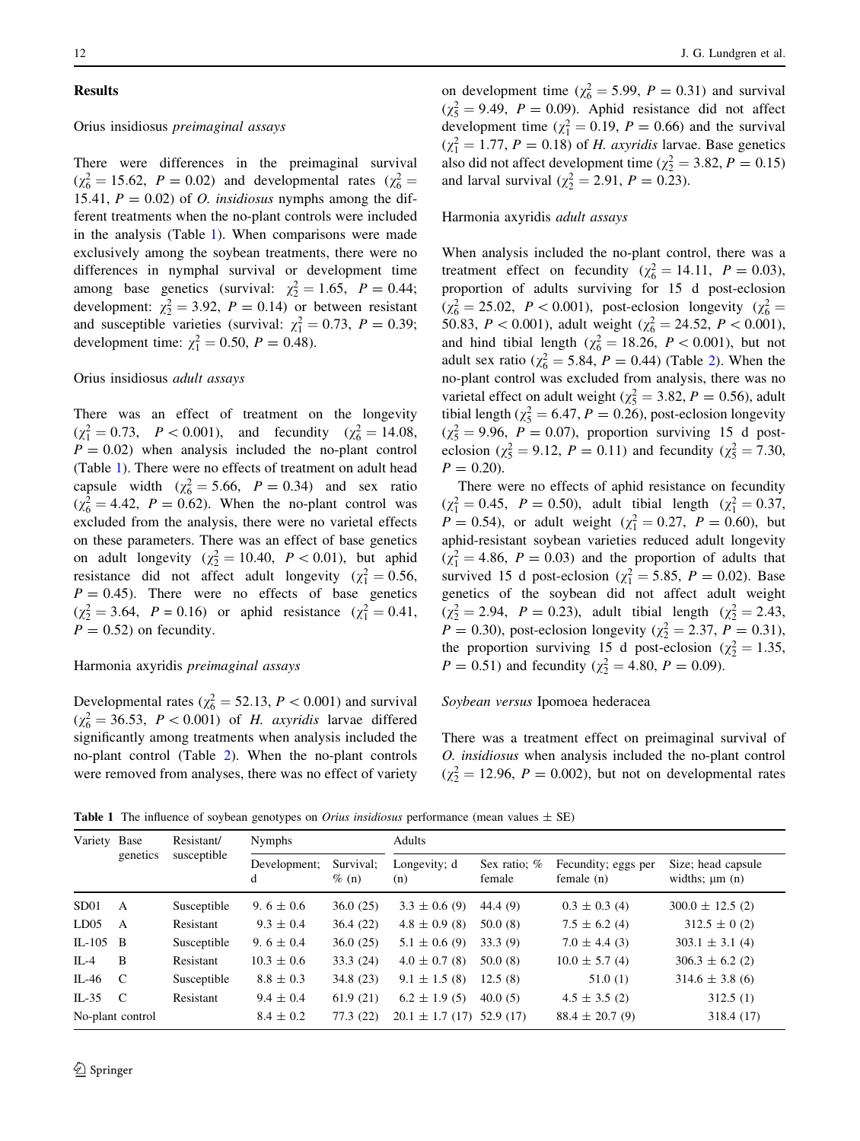### Results

## Orius insidiosus preimaginal assays

There were differences in the preimaginal survival  $(\chi_6^2 = 15.62, P = 0.02)$  and developmental rates  $(\chi_6^2 =$ 15.41,  $P = 0.02$ ) of *O. insidiosus* nymphs among the different treatments when the no-plant controls were included in the analysis (Table 1). When comparisons were made exclusively among the soybean treatments, there were no differences in nymphal survival or development time among base genetics (survival:  $\chi^2$  = 1.65, P = 0.44; development:  $\chi^2$  = 3.92, P = 0.14) or between resistant and susceptible varieties (survival:  $\chi_1^2 = 0.73$ ,  $P = 0.39$ ; development time:  $\chi_1^2 = 0.50, P = 0.48$ ).

## Orius insidiosus adult assays

There was an effect of treatment on the longevity  $(\chi_1^2 = 0.73, \quad P < 0.001), \quad \text{and} \quad \text{feemidity} \quad (\chi_6^2 = 14.08,$  $P = 0.02$ ) when analysis included the no-plant control (Table 1). There were no effects of treatment on adult head capsule width  $(\chi_6^2 = 5.66, P = 0.34)$  and sex ratio  $(\chi_6^2 = 4.42, P = 0.62)$ . When the no-plant control was excluded from the analysis, there were no varietal effects on these parameters. There was an effect of base genetics on adult longevity ( $\chi^2$  = 10.40, *P* < 0.01), but aphid resistance did not affect adult longevity ( $\chi_1^2 = 0.56$ ,  $P = 0.45$ ). There were no effects of base genetics  $(\chi_2^2 = 3.64, \ P = 0.16)$  or aphid resistance  $(\chi_1^2 = 0.41,$  $P = 0.52$ ) on fecundity.

## Harmonia axyridis preimaginal assays

Developmental rates ( $\chi_6^2 = 52.13$ ,  $P < 0.001$ ) and survival  $(\chi_6^2 = 36.53, P < 0.001)$  of H. axyridis larvae differed significantly among treatments when analysis included the no-plant control (Table [2](#page-4-0)). When the no-plant controls were removed from analyses, there was no effect of variety

on development time ( $\chi_6^2 = 5.99$ ,  $P = 0.31$ ) and survival  $(\chi^2_5 = 9.49, P = 0.09)$ . Aphid resistance did not affect development time ( $\chi_1^2 = 0.19$ ,  $P = 0.66$ ) and the survival  $(\chi_1^2 = 1.77, P = 0.18)$  of *H. axyridis* larvae. Base genetics also did not affect development time ( $\chi^2 = 3.82, P = 0.15$ ) and larval survival ( $\chi^2 = 2.91, P = 0.23$ ).

#### Harmonia axyridis adult assays

When analysis included the no-plant control, there was a treatment effect on fecundity ( $\chi_6^2 = 14.11$ ,  $P = 0.03$ ), proportion of adults surviving for 15 d post-eclosion  $(\chi_6^2 = 25.02, \ P < 0.001)$ , post-eclosion longevity  $(\chi_6^2 =$ 50.83,  $P < 0.001$ ), adult weight ( $\chi_6^2 = 24.52$ ,  $P < 0.001$ ), and hind tibial length ( $\chi_6^2 = 18.26$ ,  $P < 0.001$ ), but not adult sex ratio ( $\chi_6^2 = 5.84$ ,  $P = 0.44$ ) (Table [2\)](#page-4-0). When the no-plant control was excluded from analysis, there was no varietal effect on adult weight ( $\chi^2$  = 3.82, P = 0.56), adult tibial length ( $\chi^2$  = 6.47, P = 0.26), post-eclosion longevity  $(\chi^2_5 = 9.96, P = 0.07)$ , proportion surviving 15 d posteclosion ( $\chi^2$  = 9.12, P = 0.11) and fecundity ( $\chi^2$  = 7.30,  $P = 0.20$ .

There were no effects of aphid resistance on fecundity  $(\chi_1^2 = 0.45, P = 0.50)$ , adult tibial length  $(\chi_1^2 = 0.37,$  $P = 0.54$ , or adult weight ( $\chi_1^2 = 0.27$ ,  $P = 0.60$ ), but aphid-resistant soybean varieties reduced adult longevity  $(\chi_1^2 = 4.86, P = 0.03)$  and the proportion of adults that survived 15 d post-eclosion ( $\chi_1^2 = 5.85$ ,  $P = 0.02$ ). Base genetics of the soybean did not affect adult weight  $(\chi_2^2 = 2.94, \ P = 0.23)$ , adult tibial length  $(\chi_2^2 = 2.43, \ \frac{1}{2.5})$  $P = 0.30$ , post-eclosion longevity ( $\chi^2 = 2.37$ ,  $P = 0.31$ ), the proportion surviving 15 d post-eclosion ( $\chi^2$  = 1.35,  $P = 0.51$ ) and fecundity ( $\chi^2 = 4.80$ ,  $P = 0.09$ ).

#### Soybean versus Ipomoea hederacea

There was a treatment effect on preimaginal survival of O. insidiosus when analysis included the no-plant control  $(\chi_2^2 = 12.96, P = 0.002)$ , but not on developmental rates

**Table 1** The influence of soybean genotypes on *Orius insidiosus* performance (mean values  $\pm$  SE)

| Variety          | Base             | Resistant/  | <b>Nymphs</b>     |                       | Adults                        |                        |                                     |                                           |
|------------------|------------------|-------------|-------------------|-----------------------|-------------------------------|------------------------|-------------------------------------|-------------------------------------------|
|                  | genetics         | susceptible | Development;<br>d | Survival:<br>$\%$ (n) | Longevity; d<br>(n)           | Sex ratio; %<br>female | Fecundity; eggs per<br>female $(n)$ | Size; head capsule<br>widths; $\mu$ m (n) |
| SD <sub>01</sub> | $\mathbf{A}$     | Susceptible | 9. $6 \pm 0.6$    | 36.0(25)              | $3.3 \pm 0.6$ (9)             | 44.4 (9)               | $0.3 \pm 0.3$ (4)                   | $300.0 \pm 12.5$ (2)                      |
| LD05             | A                | Resistant   | $9.3 \pm 0.4$     | 36.4(22)              | $4.8 \pm 0.9$ (8)             | 50.0(8)                | $7.5 \pm 6.2$ (4)                   | $312.5 \pm 0$ (2)                         |
| $IL-105$ B       |                  | Susceptible | 9.6 $\pm$ 0.4     | 36.0(25)              | $5.1 \pm 0.6$ (9)             | 33.3(9)                | $7.0 \pm 4.4$ (3)                   | $303.1 \pm 3.1$ (4)                       |
| IL-4             | -B               | Resistant   | $10.3 \pm 0.6$    | 33.3(24)              | $4.0 \pm 0.7$ (8)             | 50.0(8)                | $10.0 \pm 5.7(4)$                   | $306.3 \pm 6.2$ (2)                       |
| IL-46            | -C               | Susceptible | $8.8 \pm 0.3$     | 34.8(23)              | $9.1 \pm 1.5$ (8)             | 12.5(8)                | 51.0(1)                             | $314.6 \pm 3.8$ (6)                       |
| IL-35            | C                | Resistant   | $9.4 \pm 0.4$     | 61.9(21)              | $6.2 \pm 1.9$ (5)             | 40.0(5)                | $4.5 \pm 3.5$ (2)                   | 312.5(1)                                  |
|                  | No-plant control |             | $8.4 \pm 0.2$     | 77.3(22)              | $20.1 \pm 1.7$ (17) 52.9 (17) |                        | $88.4 \pm 20.7(9)$                  | 318.4 (17)                                |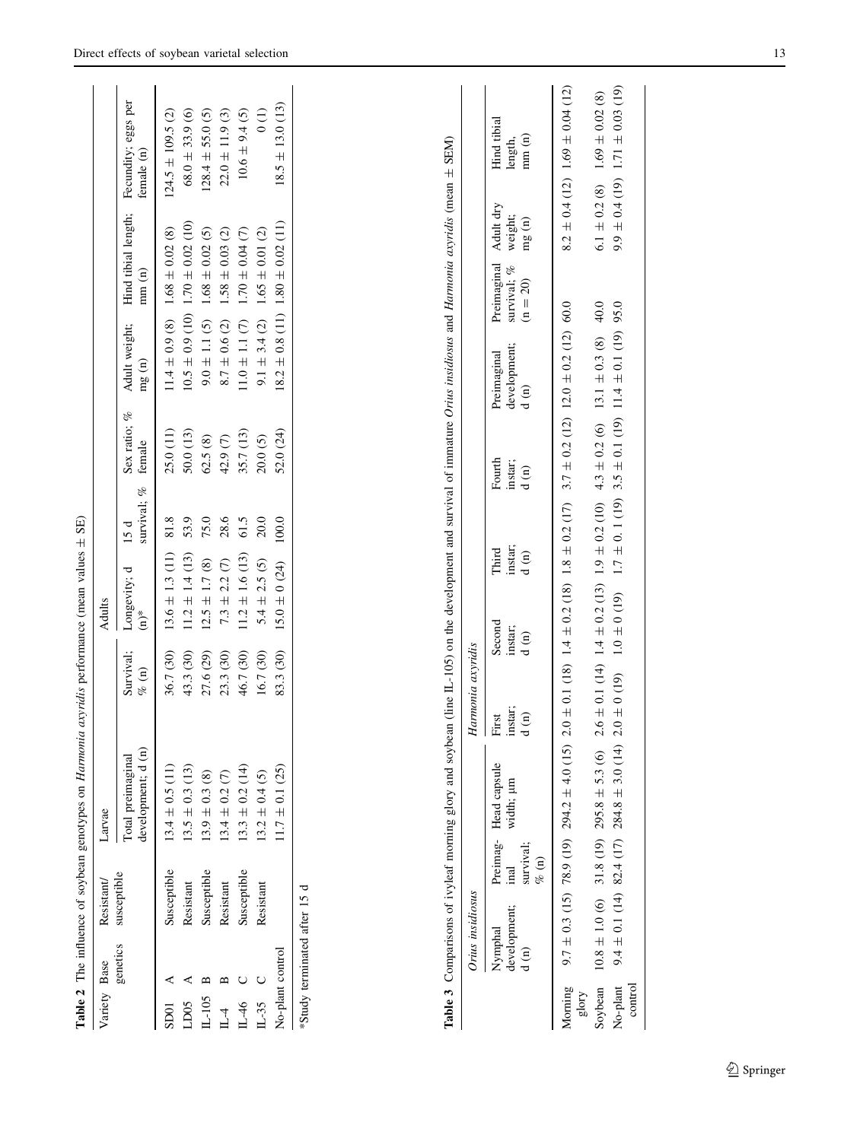<span id="page-4-0"></span>

|                              |                  | Table 2 The influence of soybean genotypes on <i>Harmonia axyridis</i> performance (mean values $\pm$ SE)                                                                                      |                       |                                           |                    |                        |                        |                                          |                                        |
|------------------------------|------------------|------------------------------------------------------------------------------------------------------------------------------------------------------------------------------------------------|-----------------------|-------------------------------------------|--------------------|------------------------|------------------------|------------------------------------------|----------------------------------------|
| Variety Base                 | Resistant        | Larvae                                                                                                                                                                                         |                       | Adults                                    |                    |                        |                        |                                          |                                        |
| genetics                     | susceptible      | development; d (n)<br>Total preimaginal                                                                                                                                                        | Survival:<br>$\%$ (n) | Longevity; d<br>$\mathrm{^{*}}\mathrm{c}$ | survival; %<br>15d | Sex ratio; %<br>female | Adult weight;<br>mg(n) | Hind tibial length;<br>mn(n)             | Fecundity; eggs per<br>female (n)      |
| SD01                         | Susceptible      | $13.4 \pm 0.5$ (11)                                                                                                                                                                            | 36.7 (30)             | $13.6 \pm 1.3$ (11)                       | 81.8               | 25.0 (11)              | $11.4 \pm 0.9$ (8)     | $1.68 \pm 0.02$ (8)                      | $124.5 \pm 109.5$ (2)                  |
| ⋖<br>LD05                    | Resistant        | $13.5 \pm 0.3$ (13)                                                                                                                                                                            | 43.3 (30)             | $11.2 \pm 1.4$ (13)                       | 53.9               | 50.0(13)               |                        | $10.5 \pm 0.9$ (10) $1.70 \pm 0.02$ (10) | $68.0 \pm 33.9(6)$                     |
| ≃<br>$L-105$                 | Susceptible      | $13.9 \pm 0.3$ (8)                                                                                                                                                                             | 27.6 (29)             | $12.5 \pm 1.7$ (8)                        | 75.0               | 62.5(8)                | $9.0 \pm 1.1$ (5)      | $1.68 \pm 0.02(5)$                       | $128.4 \pm 55.0$ (5)                   |
| ≃<br>$_{\rm 1}^{\rm 4}$      | Resistant        | $13.4 \pm 0.2$ (7)                                                                                                                                                                             | 23.3 (30)             | $7.3 \pm 2.2 (7)$                         | 28.6               | 42.9 (7)               | $8.7\pm0.6$ (2)        | 1.58 ± 0.03 (2)                          | $22.0 \pm 11.9$ (3)                    |
| IL-46                        | Susceptible      | $13.3 \pm 0.2$ (14)                                                                                                                                                                            | 46.7 (30)             | $11.2 \pm 1.6$ (13)                       | 61.5               | 35.7 (13)              | $1.0\pm1.1$ (7)        | $1.70 \pm 0.04$ (7)                      | $10.6 \pm 9.4$ (5)                     |
| $L-35$                       | Resistant        | $13.2 \pm 0.4$ (5)                                                                                                                                                                             | 16.7 (30)             | $5.4 \pm 2.5$ (5)                         | 20.0               | 20.0(5)                | $9.1 \pm 3.4$ (2)      | $1.65 \pm 0.01$ (2)                      | $\begin{pmatrix} 1 \\ 0 \end{pmatrix}$ |
| No-plant control             |                  | $11.7 \pm 0.1 (25)$                                                                                                                                                                            | 83.3 (30)             | $15.0 \pm 0$ (24)                         | 100.0              | 52.0 (24)              | $18.2 \pm 0.8$ (11)    | $1.80 \pm 0.02$ (11)                     | $18.5 \pm 13.0$ (13)                   |
| *Study terminated after 15 d |                  |                                                                                                                                                                                                |                       |                                           |                    |                        |                        |                                          |                                        |
|                              |                  | <b>Table 3</b> Comparisons of ivyleaf moming glory and soybean (line IL-105) on the development and survival of immature <i>Orius insidiosus</i> and <i>Harmonia axyridis</i> (mean $\pm$ SEM) |                       |                                           |                    |                        |                        |                                          |                                        |
|                              | Orius insidiosus |                                                                                                                                                                                                | Harmonia axyridis     |                                           |                    |                        |                        |                                          |                                        |

|                     | Nymphal<br>development;<br>$\widehat{E}$ | urvival;<br>inal<br>$\%$ (n) | Preimag- Head capsule<br>inal width; µm                                                                                                                                                                                                                                                                                                                           | instar;<br>$\widehat{E}$<br>First | Second<br>instar;<br>d (n) | Third<br>instar;<br>d (n)                                                                         | Fourth<br>instar;<br>d (n) | development;<br>Preimaginal<br>d(n) | Preimaginal Adult dry<br>survival; % weight;<br>$(n = 20)$ | mg(n) | Hind tibial<br>mn(n)<br>length,         |
|---------------------|------------------------------------------|------------------------------|-------------------------------------------------------------------------------------------------------------------------------------------------------------------------------------------------------------------------------------------------------------------------------------------------------------------------------------------------------------------|-----------------------------------|----------------------------|---------------------------------------------------------------------------------------------------|----------------------------|-------------------------------------|------------------------------------------------------------|-------|-----------------------------------------|
| Morning<br>glory    |                                          |                              | $(9.7 \pm 0.3 \text{ } (15) \text{ } 78.9 \text{ } (15) \text{ } 294.2 \pm 4.0 \text{ } (15) \text{ } 2.0 \pm 0.1 \text{ } (18) \text{ } 1.4 \text{ } 8 + 0.2 \text{ } (18) \text{ } 1.8 \pm 0.2 \text{ } (18) \text{ } 1.8 \pm 0.2 \text{ } (19) \text{ } 1.8 \pm 0.2 \text{ } (17) \text{ } 3.7 \pm 0.2 \text{ } (12) \text{ } (12) \text{ } (12) \text{ } 6.0$ |                                   |                            |                                                                                                   |                            |                                     |                                                            |       | $8.2 \pm 0.4$ (12) $1.69 \pm 0.04$ (12) |
| oybean              |                                          |                              | $10.8 \pm 1.0$ (6) 31.8 (19) 295.8 ± 5.3 (6)                                                                                                                                                                                                                                                                                                                      |                                   |                            | $2.6 \pm 0.1$ (14) $1.4 \pm 0.2$ (13) $1.9 \pm 0.2$ (10) $4.3 \pm 0.2$ (6) $1.1 \pm 0.3$ (8) 40.3 |                            |                                     |                                                            |       | $6.1 \pm 0.2$ (8) $1.69 \pm 0.02$ (8)   |
| No-plant<br>control |                                          |                              |                                                                                                                                                                                                                                                                                                                                                                   |                                   |                            |                                                                                                   |                            |                                     |                                                            |       | $9.9 \pm 0.4$ (19) $1.71 \pm 0.03$ (19) |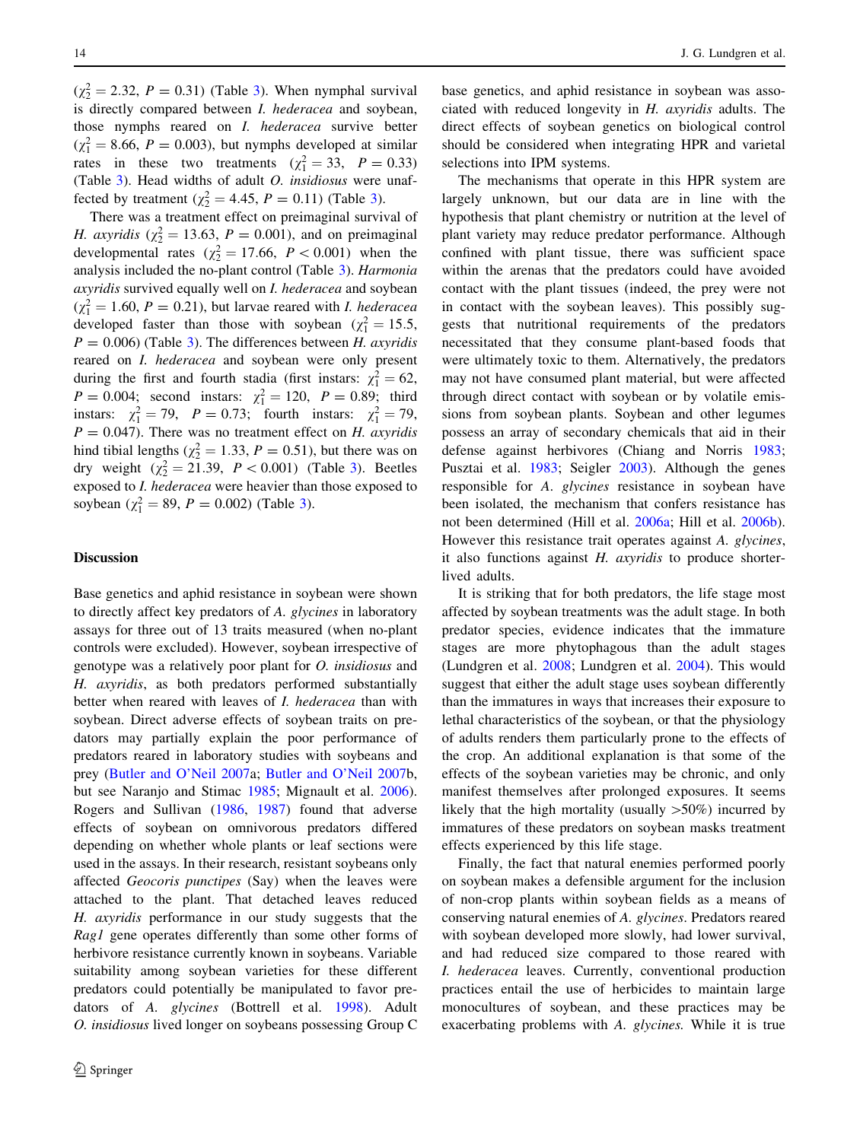$(\chi^2) = 2.32$  $(\chi^2) = 2.32$  $(\chi^2) = 2.32$ ,  $P = 0.31$ ) (Table 3). When nymphal survival is directly compared between I. hederacea and soybean, those nymphs reared on I. hederacea survive better  $(\chi_1^2 = 8.66, P = 0.003)$ , but nymphs developed at similar rates in these two treatments  $(\chi_1^2 = 33, P = 0.33)$ (Table  $3$ ). Head widths of adult  $O$ . insidiosus were unaffected by treatment ( $\chi^2 = 4.45$ ,  $P = 0.11$ ) (Table [3\)](#page-4-0).

There was a treatment effect on preimaginal survival of *H. axyridis* ( $\chi^2$  = 13.63, *P* = 0.001), and on preimaginal developmental rates  $(\chi^2 = 17.66, P < 0.001)$  when the analysis included the no-plant control (Table [3\)](#page-4-0). Harmonia axyridis survived equally well on I. hederacea and soybean  $(\chi_1^2 = 1.60, P = 0.21)$ , but larvae reared with *I. hederacea* developed faster than those with soybean ( $\chi_1^2 = 15.5$ ,  $P = 0.006$ ) (Table [3](#page-4-0)). The differences between H. axyridis reared on I. hederacea and soybean were only present during the first and fourth stadia (first instars:  $\chi_1^2 = 62$ ,  $P = 0.004$ ; second instars:  $\chi_1^2 = 120$ ,  $P = 0.89$ ; third instars:  $\chi_1^2 = 79$ ,  $P = 0.73$ ; fourth instars:  $\chi_1^2 = 79$ ,  $P = 0.047$ . There was no treatment effect on H. axyridis hind tibial lengths ( $\chi^2 = 1.33$ ,  $P = 0.51$ ), but there was on dry weight  $(\chi^2 = 21.39, P < 0.001)$  $(\chi^2 = 21.39, P < 0.001)$  $(\chi^2 = 21.39, P < 0.001)$  (Table 3). Beetles exposed to I. hederacea were heavier than those exposed to soybean  $(\chi_1^2 = 89, P = 0.002)$  (Table [3\)](#page-4-0).

## **Discussion**

Base genetics and aphid resistance in soybean were shown to directly affect key predators of A. glycines in laboratory assays for three out of 13 traits measured (when no-plant controls were excluded). However, soybean irrespective of genotype was a relatively poor plant for O. insidiosus and H. axyridis, as both predators performed substantially better when reared with leaves of *I. hederacea* than with soybean. Direct adverse effects of soybean traits on predators may partially explain the poor performance of predators reared in laboratory studies with soybeans and prey ([Butler and O'Neil 2007](#page-6-0)a; [Butler and O'Neil 2007b](#page-6-0), but see Naranjo and Stimac [1985](#page-7-0); Mignault et al. [2006](#page-7-0)). Rogers and Sullivan [\(1986](#page-7-0), [1987](#page-7-0)) found that adverse effects of soybean on omnivorous predators differed depending on whether whole plants or leaf sections were used in the assays. In their research, resistant soybeans only affected Geocoris punctipes (Say) when the leaves were attached to the plant. That detached leaves reduced H. axyridis performance in our study suggests that the Rag1 gene operates differently than some other forms of herbivore resistance currently known in soybeans. Variable suitability among soybean varieties for these different predators could potentially be manipulated to favor predators of A. glycines (Bottrell et al. [1998\)](#page-6-0). Adult O. insidiosus lived longer on soybeans possessing Group C

base genetics, and aphid resistance in soybean was associated with reduced longevity in H. axyridis adults. The direct effects of soybean genetics on biological control should be considered when integrating HPR and varietal selections into IPM systems.

The mechanisms that operate in this HPR system are largely unknown, but our data are in line with the hypothesis that plant chemistry or nutrition at the level of plant variety may reduce predator performance. Although confined with plant tissue, there was sufficient space within the arenas that the predators could have avoided contact with the plant tissues (indeed, the prey were not in contact with the soybean leaves). This possibly suggests that nutritional requirements of the predators necessitated that they consume plant-based foods that were ultimately toxic to them. Alternatively, the predators may not have consumed plant material, but were affected through direct contact with soybean or by volatile emissions from soybean plants. Soybean and other legumes possess an array of secondary chemicals that aid in their defense against herbivores (Chiang and Norris [1983](#page-6-0); Pusztai et al. [1983;](#page-7-0) Seigler [2003\)](#page-7-0). Although the genes responsible for A. glycines resistance in soybean have been isolated, the mechanism that confers resistance has not been determined (Hill et al. [2006a](#page-6-0); Hill et al. [2006b](#page-6-0)). However this resistance trait operates against A. glycines, it also functions against  $H$ . *axyridis* to produce shorterlived adults.

It is striking that for both predators, the life stage most affected by soybean treatments was the adult stage. In both predator species, evidence indicates that the immature stages are more phytophagous than the adult stages (Lundgren et al. [2008;](#page-7-0) Lundgren et al. [2004\)](#page-7-0). This would suggest that either the adult stage uses soybean differently than the immatures in ways that increases their exposure to lethal characteristics of the soybean, or that the physiology of adults renders them particularly prone to the effects of the crop. An additional explanation is that some of the effects of the soybean varieties may be chronic, and only manifest themselves after prolonged exposures. It seems likely that the high mortality (usually  $>50\%$ ) incurred by immatures of these predators on soybean masks treatment effects experienced by this life stage.

Finally, the fact that natural enemies performed poorly on soybean makes a defensible argument for the inclusion of non-crop plants within soybean fields as a means of conserving natural enemies of A. glycines. Predators reared with soybean developed more slowly, had lower survival, and had reduced size compared to those reared with I. hederacea leaves. Currently, conventional production practices entail the use of herbicides to maintain large monocultures of soybean, and these practices may be exacerbating problems with A. glycines. While it is true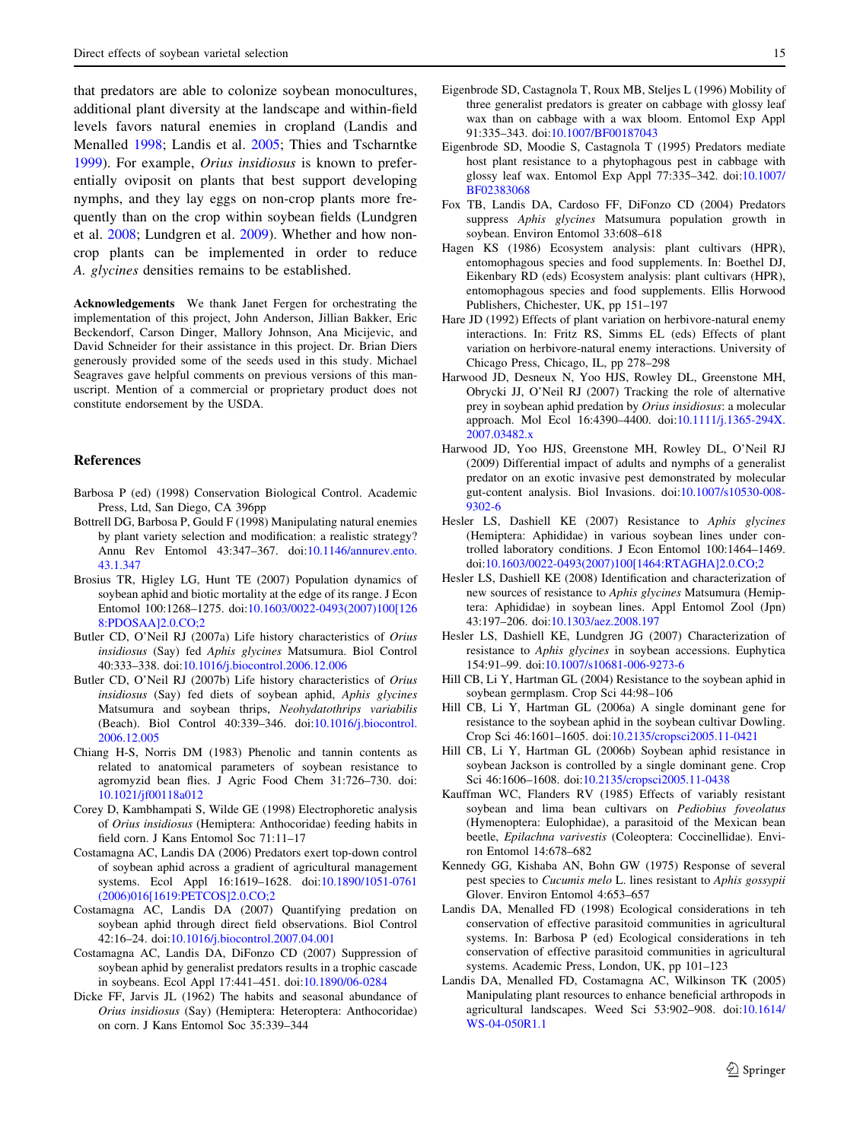<span id="page-6-0"></span>that predators are able to colonize soybean monocultures, additional plant diversity at the landscape and within-field levels favors natural enemies in cropland (Landis and Menalled 1998; Landis et al. 2005; Thies and Tscharntke [1999\)](#page-7-0). For example, Orius insidiosus is known to preferentially oviposit on plants that best support developing nymphs, and they lay eggs on non-crop plants more frequently than on the crop within soybean fields (Lundgren et al. [2008;](#page-7-0) Lundgren et al. [2009](#page-7-0)). Whether and how noncrop plants can be implemented in order to reduce A. glycines densities remains to be established.

Acknowledgements We thank Janet Fergen for orchestrating the implementation of this project, John Anderson, Jillian Bakker, Eric Beckendorf, Carson Dinger, Mallory Johnson, Ana Micijevic, and David Schneider for their assistance in this project. Dr. Brian Diers generously provided some of the seeds used in this study. Michael Seagraves gave helpful comments on previous versions of this manuscript. Mention of a commercial or proprietary product does not constitute endorsement by the USDA.

#### References

- Barbosa P (ed) (1998) Conservation Biological Control. Academic Press, Ltd, San Diego, CA 396pp
- Bottrell DG, Barbosa P, Gould F (1998) Manipulating natural enemies by plant variety selection and modification: a realistic strategy? Annu Rev Entomol 43:347–367. doi[:10.1146/annurev.ento.](http://dx.doi.org/10.1146/annurev.ento.43.1.347) [43.1.347](http://dx.doi.org/10.1146/annurev.ento.43.1.347)
- Brosius TR, Higley LG, Hunt TE (2007) Population dynamics of soybean aphid and biotic mortality at the edge of its range. J Econ Entomol 100:1268–1275. doi:[10.1603/0022-0493\(2007\)100\[126](http://dx.doi.org/10.1603/0022-0493(2007)100[1268:PDOSAA]2.0.CO;2) [8:PDOSAA\]2.0.CO;2](http://dx.doi.org/10.1603/0022-0493(2007)100[1268:PDOSAA]2.0.CO;2)
- Butler CD, O'Neil RJ (2007a) Life history characteristics of Orius insidiosus (Say) fed Aphis glycines Matsumura. Biol Control 40:333–338. doi:[10.1016/j.biocontrol.2006.12.006](http://dx.doi.org/10.1016/j.biocontrol.2006.12.006)
- Butler CD, O'Neil RJ (2007b) Life history characteristics of Orius insidiosus (Say) fed diets of soybean aphid, Aphis glycines Matsumura and soybean thrips, Neohydatothrips variabilis (Beach). Biol Control 40:339–346. doi:[10.1016/j.biocontrol.](http://dx.doi.org/10.1016/j.biocontrol.2006.12.005) [2006.12.005](http://dx.doi.org/10.1016/j.biocontrol.2006.12.005)
- Chiang H-S, Norris DM (1983) Phenolic and tannin contents as related to anatomical parameters of soybean resistance to agromyzid bean flies. J Agric Food Chem 31:726–730. doi: [10.1021/jf00118a012](http://dx.doi.org/10.1021/jf00118a012)
- Corey D, Kambhampati S, Wilde GE (1998) Electrophoretic analysis of Orius insidiosus (Hemiptera: Anthocoridae) feeding habits in field corn. J Kans Entomol Soc 71:11–17
- Costamagna AC, Landis DA (2006) Predators exert top-down control of soybean aphid across a gradient of agricultural management systems. Ecol Appl 16:1619–1628. doi:[10.1890/1051-0761](http://dx.doi.org/10.1890/1051-0761(2006)016[1619:PETCOS]2.0.CO;2) [\(2006\)016\[1619:PETCOS\]2.0.CO;2](http://dx.doi.org/10.1890/1051-0761(2006)016[1619:PETCOS]2.0.CO;2)
- Costamagna AC, Landis DA (2007) Quantifying predation on soybean aphid through direct field observations. Biol Control 42:16–24. doi[:10.1016/j.biocontrol.2007.04.001](http://dx.doi.org/10.1016/j.biocontrol.2007.04.001)
- Costamagna AC, Landis DA, DiFonzo CD (2007) Suppression of soybean aphid by generalist predators results in a trophic cascade in soybeans. Ecol Appl 17:441–451. doi[:10.1890/06-0284](http://dx.doi.org/10.1890/06-0284)
- Dicke FF, Jarvis JL (1962) The habits and seasonal abundance of Orius insidiosus (Say) (Hemiptera: Heteroptera: Anthocoridae) on corn. J Kans Entomol Soc 35:339–344
- Eigenbrode SD, Castagnola T, Roux MB, Steljes L (1996) Mobility of three generalist predators is greater on cabbage with glossy leaf wax than on cabbage with a wax bloom. Entomol Exp Appl 91:335–343. doi:[10.1007/BF00187043](http://dx.doi.org/10.1007/BF00187043)
- Eigenbrode SD, Moodie S, Castagnola T (1995) Predators mediate host plant resistance to a phytophagous pest in cabbage with glossy leaf wax. Entomol Exp Appl 77:335–342. doi[:10.1007/](http://dx.doi.org/10.1007/BF02383068) [BF02383068](http://dx.doi.org/10.1007/BF02383068)
- Fox TB, Landis DA, Cardoso FF, DiFonzo CD (2004) Predators suppress Aphis glycines Matsumura population growth in soybean. Environ Entomol 33:608–618
- Hagen KS (1986) Ecosystem analysis: plant cultivars (HPR), entomophagous species and food supplements. In: Boethel DJ, Eikenbary RD (eds) Ecosystem analysis: plant cultivars (HPR), entomophagous species and food supplements. Ellis Horwood Publishers, Chichester, UK, pp 151–197
- Hare JD (1992) Effects of plant variation on herbivore-natural enemy interactions. In: Fritz RS, Simms EL (eds) Effects of plant variation on herbivore-natural enemy interactions. University of Chicago Press, Chicago, IL, pp 278–298
- Harwood JD, Desneux N, Yoo HJS, Rowley DL, Greenstone MH, Obrycki JJ, O'Neil RJ (2007) Tracking the role of alternative prey in soybean aphid predation by Orius insidiosus: a molecular approach. Mol Ecol 16:4390–4400. doi[:10.1111/j.1365-294X.](http://dx.doi.org/10.1111/j.1365-294X.2007.03482.x) [2007.03482.x](http://dx.doi.org/10.1111/j.1365-294X.2007.03482.x)
- Harwood JD, Yoo HJS, Greenstone MH, Rowley DL, O'Neil RJ (2009) Differential impact of adults and nymphs of a generalist predator on an exotic invasive pest demonstrated by molecular gut-content analysis. Biol Invasions. doi:[10.1007/s10530-008-](http://dx.doi.org/10.1007/s10530-008-9302-6) [9302-6](http://dx.doi.org/10.1007/s10530-008-9302-6)
- Hesler LS, Dashiell KE (2007) Resistance to Aphis glycines (Hemiptera: Aphididae) in various soybean lines under controlled laboratory conditions. J Econ Entomol 100:1464–1469. doi[:10.1603/0022-0493\(2007\)100\[1464:RTAGHA\]2.0.CO;2](http://dx.doi.org/10.1603/0022-0493(2007)100[1464:RTAGHA]2.0.CO;2)
- Hesler LS, Dashiell KE (2008) Identification and characterization of new sources of resistance to Aphis glycines Matsumura (Hemiptera: Aphididae) in soybean lines. Appl Entomol Zool (Jpn) 43:197–206. doi:[10.1303/aez.2008.197](http://dx.doi.org/10.1303/aez.2008.197)
- Hesler LS, Dashiell KE, Lundgren JG (2007) Characterization of resistance to Aphis glycines in soybean accessions. Euphytica 154:91–99. doi:[10.1007/s10681-006-9273-6](http://dx.doi.org/10.1007/s10681-006-9273-6)
- Hill CB, Li Y, Hartman GL (2004) Resistance to the soybean aphid in soybean germplasm. Crop Sci 44:98–106
- Hill CB, Li Y, Hartman GL (2006a) A single dominant gene for resistance to the soybean aphid in the soybean cultivar Dowling. Crop Sci 46:1601–1605. doi:[10.2135/cropsci2005.11-0421](http://dx.doi.org/10.2135/cropsci2005.11-0421)
- Hill CB, Li Y, Hartman GL (2006b) Soybean aphid resistance in soybean Jackson is controlled by a single dominant gene. Crop Sci 46:1606–1608. doi:[10.2135/cropsci2005.11-0438](http://dx.doi.org/10.2135/cropsci2005.11-0438)
- Kauffman WC, Flanders RV (1985) Effects of variably resistant soybean and lima bean cultivars on Pediobius foveolatus (Hymenoptera: Eulophidae), a parasitoid of the Mexican bean beetle, Epilachna varivestis (Coleoptera: Coccinellidae). Environ Entomol 14:678–682
- Kennedy GG, Kishaba AN, Bohn GW (1975) Response of several pest species to Cucumis melo L. lines resistant to Aphis gossypii Glover. Environ Entomol 4:653–657
- Landis DA, Menalled FD (1998) Ecological considerations in teh conservation of effective parasitoid communities in agricultural systems. In: Barbosa P (ed) Ecological considerations in teh conservation of effective parasitoid communities in agricultural systems. Academic Press, London, UK, pp 101–123
- Landis DA, Menalled FD, Costamagna AC, Wilkinson TK (2005) Manipulating plant resources to enhance beneficial arthropods in agricultural landscapes. Weed Sci 53:902–908. doi[:10.1614/](http://dx.doi.org/10.1614/WS-04-050R1.1) [WS-04-050R1.1](http://dx.doi.org/10.1614/WS-04-050R1.1)